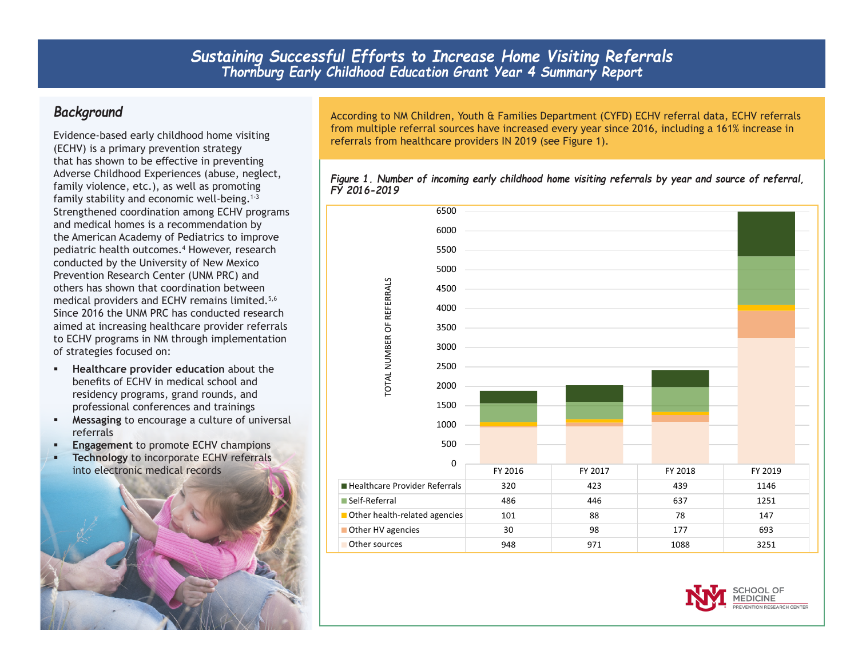## *Background*

Evidence-based early childhood home visiting (ECHV) is a primary prevention strategy that has shown to be effective in preventing Adverse Childhood Experiences (abuse, neglect, family violence, etc.), as well as promoting family stability and economic well-being.<sup>1-3</sup> Strengthened coordination among ECHV programs and medical homes is a recommendation by the American Academy of Pediatrics to improve pediatric health outcomes.4 However, research conducted by the University of New Mexico Prevention Research Center (UNM PRC) and others has shown that coordination between medical providers and ECHV remains limited.<sup>5,6</sup> Since 2016 the UNM PRC has conducted research aimed at increasing healthcare provider referrals to ECHV programs in NM through implementation of strategies focused on:

- **Healthcare provider education** about the benefits of ECHV in medical school and residency programs, grand rounds, and professional conferences and trainings
- **Messaging** to encourage a culture of universal referrals
- **Engagement to promote ECHV champions**
- **Technology** to incorporate ECHV referrals into electronic medical records



According to NM Children, Youth & Families Department (CYFD) ECHV referral data, ECHV referrals from multiple referral sources have increased every year since 2016, including a 161% increase in referrals from healthcare providers IN 2019 (see Figure 1).